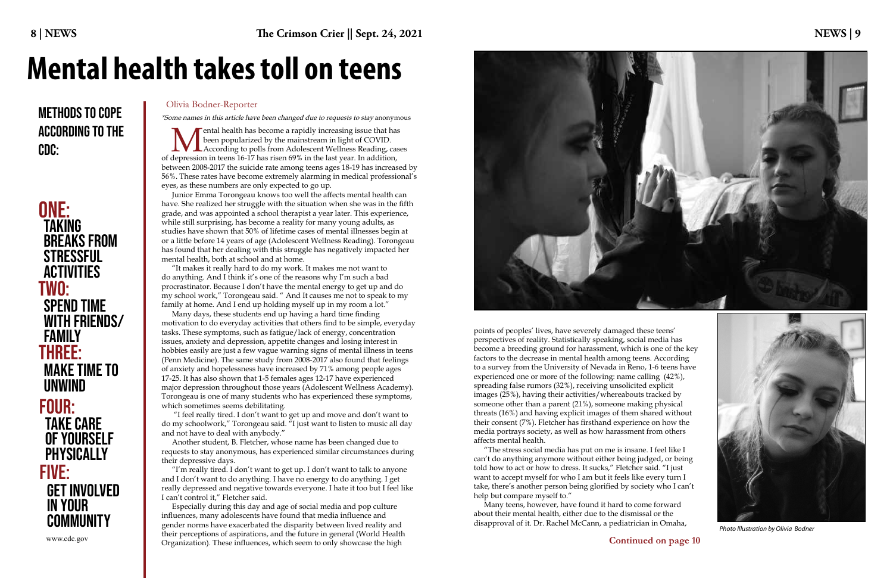**Mental health has become a rapidly increasing issue that has**<br> **M** been popularized by the mainstream in light of COVID.<br>
According to polls from Adolescent Wellness Reading, cases<br>
depression in teens 16-17 has risen 69% been popularized by the mainstream in light of COVID. of depression in teens 16-17 has risen 69% in the last year. In addition, between 2008-2017 the suicide rate among teens ages 18-19 has increased by 56%. These rates have become extremely alarming in medical professional's eyes, as these numbers are only expected to go up.

Junior Emma Torongeau knows too well the affects mental health can have. She realized her struggle with the situation when she was in the fifth grade, and was appointed a school therapist a year later. This experience, while still surprising, has become a reality for many young adults, as studies have shown that 50% of lifetime cases of mental illnesses begin at or a little before 14 years of age (Adolescent Wellness Reading). Torongeau has found that her dealing with this struggle has negatively impacted her mental health, both at school and at home.

"It makes it really hard to do my work. It makes me not want to do anything. And I think it's one of the reasons why I'm such a bad procrastinator. Because I don't have the mental energy to get up and do my school work," Torongeau said. " And It causes me not to speak to my family at home. And I end up holding myself up in my room a lot."

Many days, these students end up having a hard time finding motivation to do everyday activities that others find to be simple, everyday tasks. These symptoms, such as fatigue/lack of energy, concentration issues, anxiety and depression, appetite changes and losing interest in hobbies easily are just a few vague warning signs of mental illness in teens (Penn Medicine). The same study from 2008-2017 also found that feelings of anxiety and hopelessness have increased by 71% among people ages 17-25. It has also shown that 1-5 females ages 12-17 have experienced major depression throughout those years (Adolescent Wellness Academy). Torongeau is one of many students who has experienced these symptoms, which sometimes seems debilitating.

 "I feel really tired. I don't want to get up and move and don't want to do my schoolwork," Torongeau said. "I just want to listen to music all day and not have to deal with anybody."

# METHODS TO COPE COLIVIA Bodner-Reporter According to the CDC:

# ONE: TWO: Three: TAKING BREAKS FROM **STRESSFUL** ACTIVITIES Spend time with friends/ family Make time to unwind FOUR: Take care of yourself **PHYSICALLY** www.cdc.gov Five: Get involved in your **COMMUNITY**

Another student, B. Fletcher, whose name has been changed due to requests to stay anonymous, has experienced similar circumstances during their depressive days.

"I'm really tired. I don't want to get up. I don't want to talk to anyone and I don't want to do anything. I have no energy to do anything. I get really depressed and negative towards everyone. I hate it too but I feel like I can't control it," Fletcher said.

Especially during this day and age of social media and pop culture influences, many adolescents have found that media influence and gender norms have exacerbated the disparity between lived reality and their perceptions of aspirations, and the future in general (World Health Organization). These influences, which seem to only showcase the high



points of peoples' lives, have severely damaged these teens' perspectives of reality. Statistically speaking, social media has become a breeding ground for harassment, which is one of the key factors to the decrease in mental health among teens. According to a survey from the University of Nevada in Reno, 1-6 teens have experienced one or more of the following: name calling (42%), spreading false rumors (32%), receiving unsolicited explicit images (25%), having their activities/whereabouts tracked by someone other than a parent (21%), someone making physical threats (16%) and having explicit images of them shared without their consent (7%). Fletcher has firsthand experience on how the media portrays society, as well as how harassment from others affects mental health.

"The stress social media has put on me is insane. I feel like I can't do anything anymore without either being judged, or being told how to act or how to dress. It sucks," Fletcher said. "I just want to accept myself for who I am but it feels like every turn I take, there's another person being glorified by society who I can't help but compare myself to."

Many teens, however, have found it hard to come forward about their mental health, either due to the dismissal or the disapproval of it. Dr. Rachel McCann, a pediatrician in Omaha,

# **Mental health takes toll on teens**



\*Some names in this article have been changed due to requests to stay anonymous